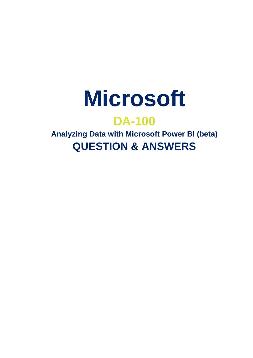

# **DA-100**

**Analyzing Data with Microsoft Power BI (beta) QUESTION & ANSWERS**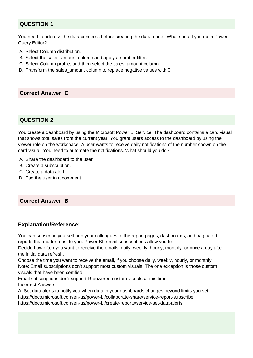## **QUESTION 1**

You need to address the data concerns before creating the data model. What should you do in Power Query Editor?

- A. Select Column distribution.
- B. Select the sales\_amount column and apply a number filter.
- C. Select Column profile, and then select the sales\_amount column.
- D. Transform the sales\_amount column to replace negative values with 0.

## **Correct Answer: C**

## **QUESTION 2**

You create a dashboard by using the Microsoft Power Bl Service. The dashboard contains a card visual that shows total sales from the current year. You grant users access to the dashboard by using the viewer role on the workspace. A user wants to receive daily notifications of the number shown on the card visual. You need to automate the notifications. What should you do?

- A. Share the dashboard to the user.
- B. Create a subscription.
- C. Create a data alert.
- D. Tag the user in a comment.

## **Correct Answer: B**

## **Explanation/Reference:**

You can subscribe yourself and your colleagues to the report pages, dashboards, and paginated reports that matter most to you. Power BI e-mail subscriptions allow you to:

Decide how often you want to receive the emails: daily, weekly, hourly, monthly, or once a day after the initial data refresh.

Choose the time you want to receive the email, if you choose daily, weekly, hourly, or monthly. Note: Email subscriptions don't support most custom visuals. The one exception is those custom visuals that have been certified.

Email subscriptions don't support R-powered custom visuals at this time. Incorrect Answers:

A: Set data alerts to notify you when data in your dashboards changes beyond limits you set. https://docs.microsoft.com/en-us/power-bi/collaborate-share/service-report-subscribe https://docs.microsoft.com/en-us/power-bi/create-reports/service-set-data-alerts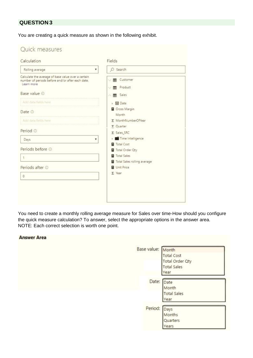## **QUESTION 3**

You are creating a quick measure as shown in the following exhibit.

| Rolling average<br>۰                                                                                                 | O Search                                   |
|----------------------------------------------------------------------------------------------------------------------|--------------------------------------------|
| Calculate the average of base value over a certain<br>number of periods before and/or after each date.<br>Learn more | ↓ <b>III</b> Customer<br>Product<br>皿<br>v |
| Base value @                                                                                                         | <b>EB</b> Sales<br>×                       |
| Add data fields here.                                                                                                | ▶ 圖 Date                                   |
| Date O                                                                                                               | Gross Margin<br>Month                      |
| Add data fields here                                                                                                 | Σ MonthNumberOfYear                        |
| Period <sup>1</sup>                                                                                                  | Σ Quarter<br>$\Sigma$ Sales SRC            |
| Days<br>۳                                                                                                            | Time intelligence                          |
| Periods before ©                                                                                                     | Total Cost<br>Total Order Qty              |
| $\mathbf{1}$                                                                                                         | Total Sales                                |
| Periods after @                                                                                                      | Total Sales rolling average<br>Unit Price  |
| $\circ$                                                                                                              | $\Sigma$ Year                              |
|                                                                                                                      |                                            |

You need to create a monthly rolling average measure for Sales over time-How should you configure the quick measure calculation? To answer, select the appropriate options in the answer area. NOTE: Each correct selection is worth one point.

#### **Answer Area**

| Base value: Month | <b>Total Cost</b><br><b>Total Order Qty</b><br><b>Total Sales</b><br>Year |  |
|-------------------|---------------------------------------------------------------------------|--|
| Date: Date        | Month<br><b>Total Sales</b><br>Year                                       |  |
| Period:           | Days<br>Months<br>Quarters<br>ears                                        |  |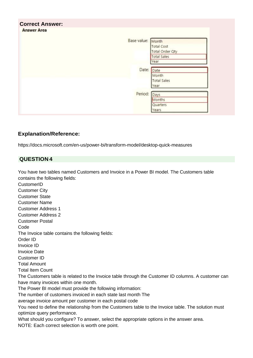| <b>Correct Answer:</b><br><b>Answer Area</b> |                    |
|----------------------------------------------|--------------------|
| Base value: Month                            |                    |
|                                              | Total Cost         |
|                                              | Total Order Qty    |
|                                              | <b>Total Sales</b> |
|                                              | Year               |
| Date: Date                                   |                    |
|                                              | Month              |
|                                              | <b>Total Sales</b> |
|                                              | Year               |
| Period:                                      | Days               |
|                                              | Months             |
|                                              | Quarters           |
|                                              | Years              |

https://docs.microsoft.com/en-us/power-bi/transform-model/desktop-quick-measures

## **QUESTION 4**

You have two tables named Customers and Invoice in a Power BI model. The Customers table contains the following fields:

**CustomerID** Customer City Customer State Customer Name Customer Address 1 Customer Address 2 Customer Postal Code The Invoice table contains the following fields: Order ID Invoice ID Invoice Date Customer ID Total Amount Total Item Count The Customers table is related to the Invoice table through the Customer ID columns. A customer can have many invoices within one month. The Power BI model must provide the following information: The number of customers invoiced in each state last month The average invoice amount per customer in each postal code You need to define the relationship from the Customers table to the Invoice table. The solution must optimize query performance. What should you configure? To answer, select the appropriate options in the answer area. NOTE: Each correct selection is worth one point.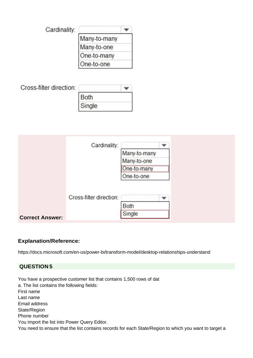| Cardinality: |              |  |
|--------------|--------------|--|
|              | Many-to-many |  |
|              | Many-to-one  |  |
|              | One-to-many  |  |
|              | One-to-one   |  |

| Cross-filter direction: |        |  |
|-------------------------|--------|--|
|                         | Both   |  |
|                         | Single |  |

|                        | Cardinality:            |              |   |  |
|------------------------|-------------------------|--------------|---|--|
|                        |                         | Many-to-many |   |  |
|                        |                         | Many-to-one  |   |  |
|                        |                         | One-to-many  |   |  |
|                        |                         | One-to-one   |   |  |
|                        |                         |              |   |  |
|                        | Cross-filter direction: |              | ▼ |  |
|                        |                         | Both         |   |  |
| <b>Correct Answer:</b> |                         | Single       |   |  |

https://docs.microsoft.com/en-us/power-bi/transform-model/desktop-relationships-understand

## **QUESTION 5**

ì

You have a prospective customer list that contains 1,500 rows of dat a. The list contains the following fields: First name Last name Email address State/Region Phone number You import the list into Power Query Editor. You need to ensure that the list contains records for each State/Region to which you want to target a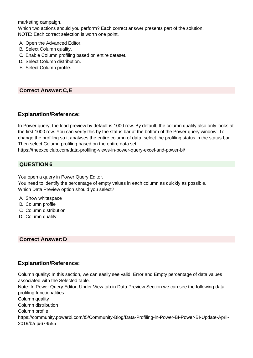marketing campaign.

Which two actions should you perform? Each correct answer presents part of the solution. NOTE: Each correct selection is worth one point.

- A. Open the Advanced Editor.
- B. Select Column quality.
- C. Enable Column profiling based on entire dataset.
- D. Select Column distribution.
- E. Select Column profile.

#### **Correct Answer:C,E**

#### **Explanation/Reference:**

In Power query, the load preview by default is 1000 row. By default, the column quality also only looks at the first 1000 row. You can verify this by the status bar at the bottom of the Power query window. To change the profiling so it analyses the entire column of data, select the profiling status in the status bar. Then select Column profiling based on the entire data set.

https://theexcelclub.com/data-profiling-views-in-power-query-excel-and-power-bi/

#### **QUESTION 6**

You open a query in Power Query Editor.

You need to identify the percentage of empty values in each column as quickly as possible. Which Data Preview option should you select?

- A. Show whitespace
- B. Column profile
- C. Column distribution
- D. Column quality

#### **Correct Answer:D**

#### **Explanation/Reference:**

Column quality: In this section, we can easily see valid, Error and Empty percentage of data values associated with the Selected table.

Note: In Power Query Editor, Under View tab in Data Preview Section we can see the following data profiling functionalities:

Column quality

Column distribution

Column profile

https://community.powerbi.com/t5/Community-Blog/Data-Profiling-in-Power-BI-Power-BI-Update-April-2019/ba-p/674555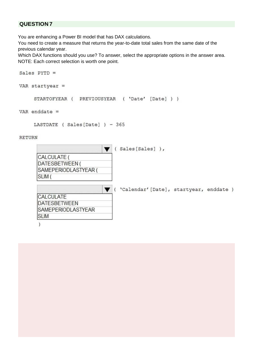## **QUESTION 7**

You are enhancing a Power BI model that has DAX calculations.

You need to create a measure that returns the year-to-date total sales from the same date of the previous calendar year.

Which DAX functions should you use? To answer, select the appropriate options in the answer area. NOTE: Each correct selection is worth one point.

```
Sales PYTD =VAR startyear =STARTOFYEAR ( PREVIOUSYEAR ( 'Date' [Date] ) )
VAR enddate =LASTDATE ( Sales [Date] ) - 365
RETURN
                                  (Sales[Sales]),
                              \blacktriangledownCALCULATE (
       DATESBETWEEN (
       SAMEPERIODLASTYEAR (
      SLIM (
                               V ( 'Calendar' [Date], startyear, enddate )
      CALCULATE
      DATESBETWEEN
      SAMEPERIODLASTYEAR
      SLIM
       \mathcal{E}
```
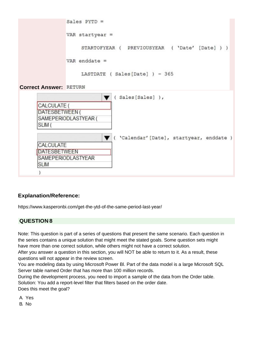

**ISLIM** 

)

**IDATESBETWEEN** 

SAMEPERIODLASTYEAR

[https://www.kasperonbi.com/get-the-ytd-of-the-same-period-last-year/](http://www.kasperonbi.com/get-the-ytd-of-the-same-period-last-year/)

#### **QUESTION 8**

Note: This question is part of a series of questions that present the same scenario. Each question in the series contains a unique solution that might meet the stated goals. Some question sets might have more than one correct solution, while others might not have a correct solution.

After you answer a question in this section, you will NOT be able to return to it. As a result, these questions will not appear in the review screen.

You are modeling data by using Microsoft Power Bl. Part of the data model is a large Microsoft SQL Server table named Order that has more than 100 million records.

During the development process, you need to import a sample of the data from the Order table. Solution: You add a report-level filter that filters based on the order date.

Does this meet the goal?

A. Yes

B. No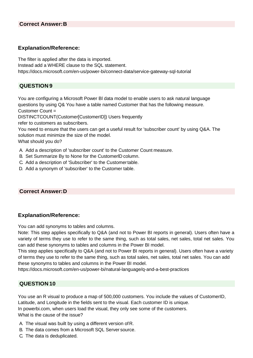The filter is applied after the data is imported. Instead add a WHERE clause to the SQL statement. https://docs.microsoft.com/en-us/power-bi/connect-data/service-gateway-sql-tutorial

## **QUESTION 9**

You are configuring a Microsoft Power Bl data model to enable users to ask natural language questions by using Q& You have a table named Customer that has the following measure.

Customer Count =

DISTINCTCOUNT(Customer[CustomerID]) Users frequently

refer to customers as subscribers.

You need to ensure that the users can get a useful result for 'subscriber count' by using Q&A. The solution must minimize the size of the model.

What should you do?

- A. Add a description of 'subscriber count' to the Customer Count measure.
- B. Set Summarize By to None for the CustomerlD column.
- C. Add a description of 'Subscriber' to the Customertable.
- D. Add a synonym of 'subscriber' to the Customer table.

## **Correct Answer:D**

## **Explanation/Reference:**

You can add synonyms to tables and columns.

Note: This step applies specifically to Q&A (and not to Power BI reports in general). Users often have a variety of terms they use to refer to the same thing, such as total sales, net sales, total net sales. You can add these synonyms to tables and columns in the Power BI model.

This step applies specifically to Q&A (and not to Power BI reports in general). Users often have a variety of terms they use to refer to the same thing, such as total sales, net sales, total net sales. You can add these synonyms to tables and columns in the Power BI model.

https://docs.microsoft.com/en-us/power-bi/natural-language/q-and-a-best-practices

## **QUESTION 10**

You use an R visual to produce a map of 500,000 customers. You include the values of CustomerID, Latitude, and Longitude in the fields sent to the visual. Each customer ID is unique. In powerbi.com, when users load the visual, they only see some of the customers. What is the cause of the issue?

- A. The visual was built by using a different version ofR.
- B. The data comes from a Microsoft SQL Server source.
- C. The data is deduplicated.